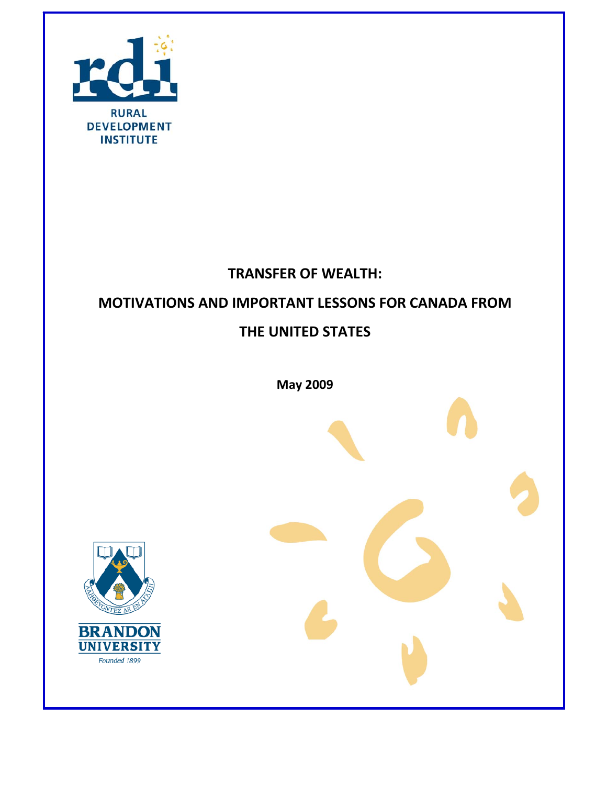

## **TRANSFER OF WEALTH:**

# **MOTIVATIONS AND IMPORTANT LESSONS FOR CANADA FROM**

## **THE UNITED STATES**

**May 2009**

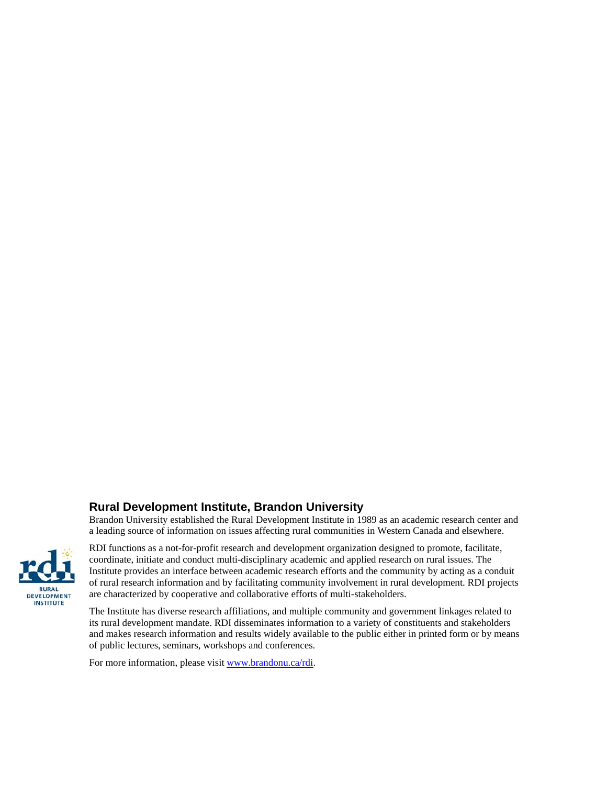#### **Rural Development Institute, Brandon University**

Brandon University established the Rural Development Institute in 1989 as an academic research center and a leading source of information on issues affecting rural communities in Western Canada and elsewhere.



RDI functions as a not-for-profit research and development organization designed to promote, facilitate, coordinate, initiate and conduct multi-disciplinary academic and applied research on rural issues. The Institute provides an interface between academic research efforts and the community by acting as a conduit of rural research information and by facilitating community involvement in rural development. RDI projects are characterized by cooperative and collaborative efforts of multi-stakeholders.

The Institute has diverse research affiliations, and multiple community and government linkages related to its rural development mandate. RDI disseminates information to a variety of constituents and stakeholders and makes research information and results widely available to the public either in printed form or by means of public lectures, seminars, workshops and conferences.

For more information, please visit www.brandonu.ca/rdi.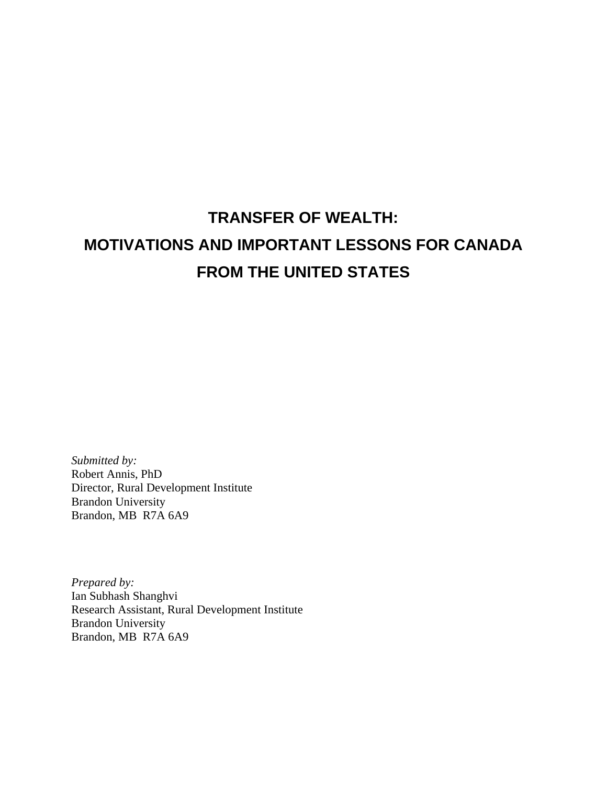# **TRANSFER OF WEALTH: MOTIVATIONS AND IMPORTANT LESSONS FOR CANADA FROM THE UNITED STATES**

*Submitted by:*  Robert Annis, PhD Director, Rural Development Institute Brandon University Brandon, MB R7A 6A9

*Prepared by:*  Ian Subhash Shanghvi Research Assistant, Rural Development Institute Brandon University Brandon, MB R7A 6A9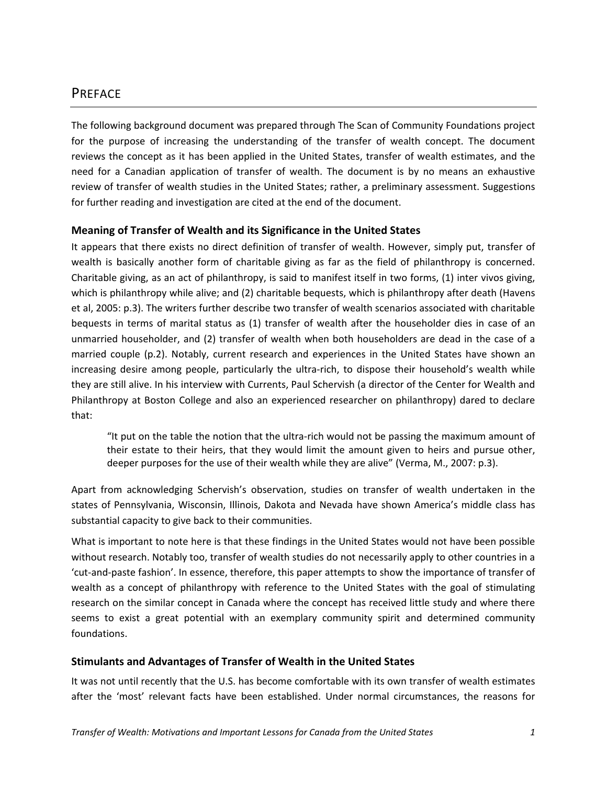### PREFACE

The following background document was prepared through The Scan of Community Foundations project for the purpose of increasing the understanding of the transfer of wealth concept. The document reviews the concept as it has been applied in the United States, transfer of wealth estimates, and the need for a Canadian application of transfer of wealth. The document is by no means an exhaustive review of transfer of wealth studies in the United States; rather, a preliminary assessment. Suggestions for further reading and investigation are cited at the end of the document.

#### **Meaning of Transfer of Wealth and its Significance in the United States**

It appears that there exists no direct definition of transfer of wealth. However, simply put, transfer of wealth is basically another form of charitable giving as far as the field of philanthropy is concerned. Charitable giving, as an act of philanthropy, is said to manifest itself in two forms, (1) inter vivos giving, which is philanthropy while alive; and (2) charitable bequests, which is philanthropy after death (Havens et al, 2005: p.3). The writers further describe two transfer of wealth scenarios associated with charitable bequests in terms of marital status as (1) transfer of wealth after the householder dies in case of an unmarried householder, and (2) transfer of wealth when both householders are dead in the case of a married couple (p.2). Notably, current research and experiences in the United States have shown an increasing desire among people, particularly the ultra‐rich, to dispose their household's wealth while they are still alive. In his interview with Currents, Paul Schervish (a director of the Center for Wealth and Philanthropy at Boston College and also an experienced researcher on philanthropy) dared to declare that:

"It put on the table the notion that the ultra‐rich would not be passing the maximum amount of their estate to their heirs, that they would limit the amount given to heirs and pursue other, deeper purposes for the use of their wealth while they are alive" (Verma, M., 2007: p.3).

Apart from acknowledging Schervish's observation, studies on transfer of wealth undertaken in the states of Pennsylvania, Wisconsin, Illinois, Dakota and Nevada have shown America's middle class has substantial capacity to give back to their communities.

What is important to note here is that these findings in the United States would not have been possible without research. Notably too, transfer of wealth studies do not necessarily apply to other countries in a 'cut‐and‐paste fashion'. In essence, therefore, this paper attempts to show the importance of transfer of wealth as a concept of philanthropy with reference to the United States with the goal of stimulating research on the similar concept in Canada where the concept has received little study and where there seems to exist a great potential with an exemplary community spirit and determined community foundations.

#### **Stimulants and Advantages of Transfer of Wealth in the United States**

It was not until recently that the U.S. has become comfortable with its own transfer of wealth estimates after the 'most' relevant facts have been established. Under normal circumstances, the reasons for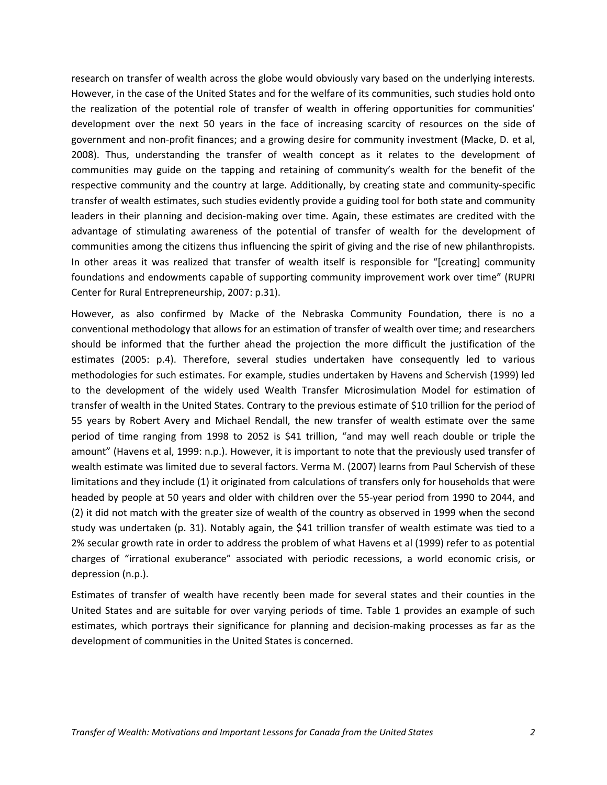research on transfer of wealth across the globe would obviously vary based on the underlying interests. However, in the case of the United States and for the welfare of its communities, such studies hold onto the realization of the potential role of transfer of wealth in offering opportunities for communities' development over the next 50 years in the face of increasing scarcity of resources on the side of government and non‐profit finances; and a growing desire for community investment (Macke, D. et al, 2008). Thus, understanding the transfer of wealth concept as it relates to the development of communities may guide on the tapping and retaining of community's wealth for the benefit of the respective community and the country at large. Additionally, by creating state and community‐specific transfer of wealth estimates, such studies evidently provide a guiding tool for both state and community leaders in their planning and decision‐making over time. Again, these estimates are credited with the advantage of stimulating awareness of the potential of transfer of wealth for the development of communities among the citizens thus influencing the spirit of giving and the rise of new philanthropists. In other areas it was realized that transfer of wealth itself is responsible for "[creating] community foundations and endowments capable of supporting community improvement work over time" (RUPRI Center for Rural Entrepreneurship, 2007: p.31).

However, as also confirmed by Macke of the Nebraska Community Foundation, there is no a conventional methodology that allows for an estimation of transfer of wealth over time; and researchers should be informed that the further ahead the projection the more difficult the justification of the estimates (2005: p.4). Therefore, several studies undertaken have consequently led to various methodologies for such estimates. For example, studies undertaken by Havens and Schervish (1999) led to the development of the widely used Wealth Transfer Microsimulation Model for estimation of transfer of wealth in the United States. Contrary to the previous estimate of \$10 trillion for the period of 55 years by Robert Avery and Michael Rendall, the new transfer of wealth estimate over the same period of time ranging from 1998 to 2052 is \$41 trillion, "and may well reach double or triple the amount" (Havens et al, 1999: n.p.). However, it is important to note that the previously used transfer of wealth estimate was limited due to several factors. Verma M. (2007) learns from Paul Schervish of these limitations and they include (1) it originated from calculations of transfers only for households that were headed by people at 50 years and older with children over the 55-year period from 1990 to 2044, and (2) it did not match with the greater size of wealth of the country as observed in 1999 when the second study was undertaken (p. 31). Notably again, the \$41 trillion transfer of wealth estimate was tied to a 2% secular growth rate in order to address the problem of what Havens et al (1999) refer to as potential charges of "irrational exuberance" associated with periodic recessions, a world economic crisis, or depression (n.p.).

Estimates of transfer of wealth have recently been made for several states and their counties in the United States and are suitable for over varying periods of time. Table 1 provides an example of such estimates, which portrays their significance for planning and decision-making processes as far as the development of communities in the United States is concerned.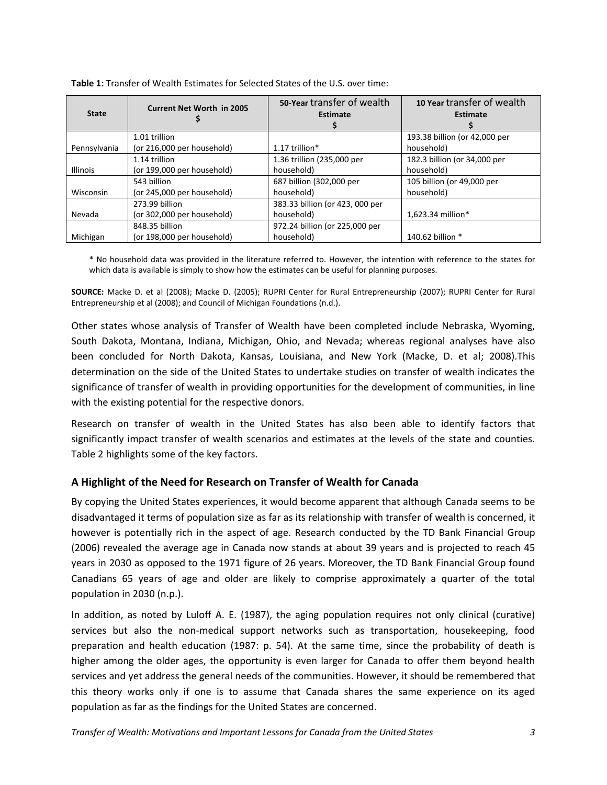| <b>State</b>    | <b>Current Net Worth in 2005</b> | 50-Year transfer of wealth<br>Estimate | 10 Year transfer of wealth<br>Estimate |
|-----------------|----------------------------------|----------------------------------------|----------------------------------------|
|                 | 1.01 trillion                    |                                        | 193.38 billion (or 42,000 per          |
| Pennsylvania    | (or 216,000 per household)       | 1.17 trillion*                         | household)                             |
|                 | 1.14 trillion                    | 1.36 trillion (235,000 per             | 182.3 billion (or 34,000 per           |
| <b>Illinois</b> | (or 199,000 per household)       | household)                             | household)                             |
|                 | 543 billion                      | 687 billion (302,000 per               | 105 billion (or 49,000 per             |
| Wisconsin       | (or 245,000 per household)       | household)                             | household)                             |
|                 | 273.99 billion                   | 383.33 billion (or 423, 000 per        |                                        |
| Nevada          | (or 302,000 per household)       | household)                             | 1,623.34 million*                      |
|                 | 848.35 billion                   | 972.24 billion (or 225,000 per         |                                        |
| Michigan        | (or 198,000 per household)       | household)                             | 140.62 billion *                       |

**Table 1:** Transfer of Wealth Estimates for Selected States of the U.S. over time:

\* No household data was provided in the literature referred to. However, the intention with reference to the states for which data is available is simply to show how the estimates can be useful for planning purposes.

**SOURCE:** Macke D. et al (2008); Macke D. (2005); RUPRI Center for Rural Entrepreneurship (2007); RUPRI Center for Rural Entrepreneurship et al (2008); and Council of Michigan Foundations (n.d.).

Other states whose analysis of Transfer of Wealth have been completed include Nebraska, Wyoming, South Dakota, Montana, Indiana, Michigan, Ohio, and Nevada; whereas regional analyses have also been concluded for North Dakota, Kansas, Louisiana, and New York (Macke, D. et al; 2008).This determination on the side of the United States to undertake studies on transfer of wealth indicates the significance of transfer of wealth in providing opportunities for the development of communities, in line with the existing potential for the respective donors.

Research on transfer of wealth in the United States has also been able to identify factors that significantly impact transfer of wealth scenarios and estimates at the levels of the state and counties. Table 2 highlights some of the key factors.

#### **A Highlight of the Need for Research on Transfer of Wealth for Canada**

By copying the United States experiences, it would become apparent that although Canada seems to be disadvantaged it terms of population size as far as its relationship with transfer of wealth is concerned, it however is potentially rich in the aspect of age. Research conducted by the TD Bank Financial Group (2006) revealed the average age in Canada now stands at about 39 years and is projected to reach 45 years in 2030 as opposed to the 1971 figure of 26 years. Moreover, the TD Bank Financial Group found Canadians 65 years of age and older are likely to comprise approximately a quarter of the total population in 2030 (n.p.).

In addition, as noted by Luloff A. E. (1987), the aging population requires not only clinical (curative) services but also the non-medical support networks such as transportation, housekeeping, food preparation and health education (1987: p. 54). At the same time, since the probability of death is higher among the older ages, the opportunity is even larger for Canada to offer them beyond health services and yet address the general needs of the communities. However, it should be remembered that this theory works only if one is to assume that Canada shares the same experience on its aged population as far as the findings for the United States are concerned.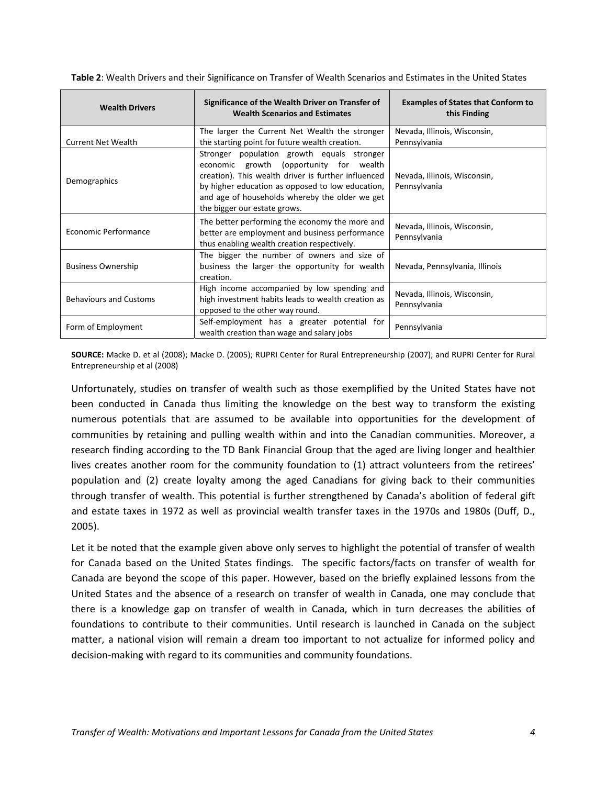| <b>Wealth Drivers</b>         | Significance of the Wealth Driver on Transfer of<br><b>Wealth Scenarios and Estimates</b>                                                                                                                                                                                          | <b>Examples of States that Conform to</b><br>this Finding |
|-------------------------------|------------------------------------------------------------------------------------------------------------------------------------------------------------------------------------------------------------------------------------------------------------------------------------|-----------------------------------------------------------|
| <b>Current Net Wealth</b>     | The larger the Current Net Wealth the stronger<br>the starting point for future wealth creation.                                                                                                                                                                                   | Nevada, Illinois, Wisconsin,<br>Pennsylvania              |
| Demographics                  | Stronger population growth equals stronger<br>economic growth (opportunity for wealth<br>creation). This wealth driver is further influenced<br>by higher education as opposed to low education,<br>and age of households whereby the older we get<br>the bigger our estate grows. | Nevada, Illinois, Wisconsin,<br>Pennsylvania              |
| Economic Performance          | The better performing the economy the more and<br>better are employment and business performance<br>thus enabling wealth creation respectively.                                                                                                                                    | Nevada, Illinois, Wisconsin,<br>Pennsylvania              |
| <b>Business Ownership</b>     | The bigger the number of owners and size of<br>business the larger the opportunity for wealth<br>creation.                                                                                                                                                                         | Nevada, Pennsylvania, Illinois                            |
| <b>Behaviours and Customs</b> | High income accompanied by low spending and<br>high investment habits leads to wealth creation as<br>opposed to the other way round.                                                                                                                                               | Nevada, Illinois, Wisconsin,<br>Pennsylvania              |
| Form of Employment            | Self-employment has a greater potential for<br>wealth creation than wage and salary jobs                                                                                                                                                                                           | Pennsylvania                                              |

**Table 2**: Wealth Drivers and their Significance on Transfer of Wealth Scenarios and Estimates in the United States

**SOURCE:** Macke D. et al (2008); Macke D. (2005); RUPRI Center for Rural Entrepreneurship (2007); and RUPRI Center for Rural Entrepreneurship et al (2008)

Unfortunately, studies on transfer of wealth such as those exemplified by the United States have not been conducted in Canada thus limiting the knowledge on the best way to transform the existing numerous potentials that are assumed to be available into opportunities for the development of communities by retaining and pulling wealth within and into the Canadian communities. Moreover, a research finding according to the TD Bank Financial Group that the aged are living longer and healthier lives creates another room for the community foundation to (1) attract volunteers from the retirees' population and (2) create loyalty among the aged Canadians for giving back to their communities through transfer of wealth. This potential is further strengthened by Canada's abolition of federal gift and estate taxes in 1972 as well as provincial wealth transfer taxes in the 1970s and 1980s (Duff, D., 2005).

Let it be noted that the example given above only serves to highlight the potential of transfer of wealth for Canada based on the United States findings. The specific factors/facts on transfer of wealth for Canada are beyond the scope of this paper. However, based on the briefly explained lessons from the United States and the absence of a research on transfer of wealth in Canada, one may conclude that there is a knowledge gap on transfer of wealth in Canada, which in turn decreases the abilities of foundations to contribute to their communities. Until research is launched in Canada on the subject matter, a national vision will remain a dream too important to not actualize for informed policy and decision‐making with regard to its communities and community foundations.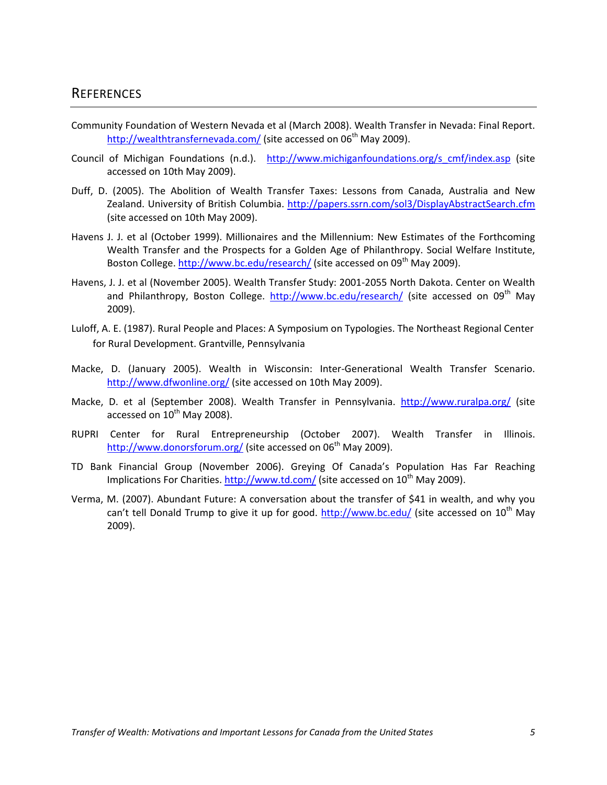#### **REFERENCES**

- Community Foundation of Western Nevada et al (March 2008). Wealth Transfer in Nevada: Final Report. http://wealthtransfernevada.com/ (site accessed on  $06<sup>th</sup>$  May 2009).
- Council of Michigan Foundations (n.d.). http://www.michiganfoundations.org/s\_cmf/index.asp (site accessed on 10th May 2009).
- Duff, D. (2005). The Abolition of Wealth Transfer Taxes: Lessons from Canada, Australia and New Zealand. University of British Columbia. http://papers.ssrn.com/sol3/DisplayAbstractSearch.cfm (site accessed on 10th May 2009).
- Havens J. J. et al (October 1999). Millionaires and the Millennium: New Estimates of the Forthcoming Wealth Transfer and the Prospects for a Golden Age of Philanthropy. Social Welfare Institute, Boston College. http://www.bc.edu/research/ (site accessed on 09<sup>th</sup> May 2009).
- Havens, J. J. et al (November 2005). Wealth Transfer Study: 2001‐2055 North Dakota. Center on Wealth and Philanthropy, Boston College. http://www.bc.edu/research/ (site accessed on 09<sup>th</sup> Mav 2009).
- Luloff, A. E. (1987). Rural People and Places: A Symposium on Typologies. The Northeast Regional Center for Rural Development. Grantville, Pennsylvania
- Macke, D. (January 2005). Wealth in Wisconsin: Inter‐Generational Wealth Transfer Scenario. http://www.dfwonline.org/ (site accessed on 10th May 2009).
- Macke, D. et al (September 2008). Wealth Transfer in Pennsylvania. http://www.ruralpa.org/ (site accessed on  $10^{th}$  May 2008).
- RUPRI Center for Rural Entrepreneurship (October 2007). Wealth Transfer in Illinois. http://www.donorsforum.org/ (site accessed on 06<sup>th</sup> May 2009).
- TD Bank Financial Group (November 2006). Greying Of Canada's Population Has Far Reaching Implications For Charities. http://www.td.com/ (site accessed on  $10^{th}$  May 2009).
- Verma, M. (2007). Abundant Future: A conversation about the transfer of \$41 in wealth, and why you can't tell Donald Trump to give it up for good. http://www.bc.edu/ (site accessed on  $10^{th}$  May 2009).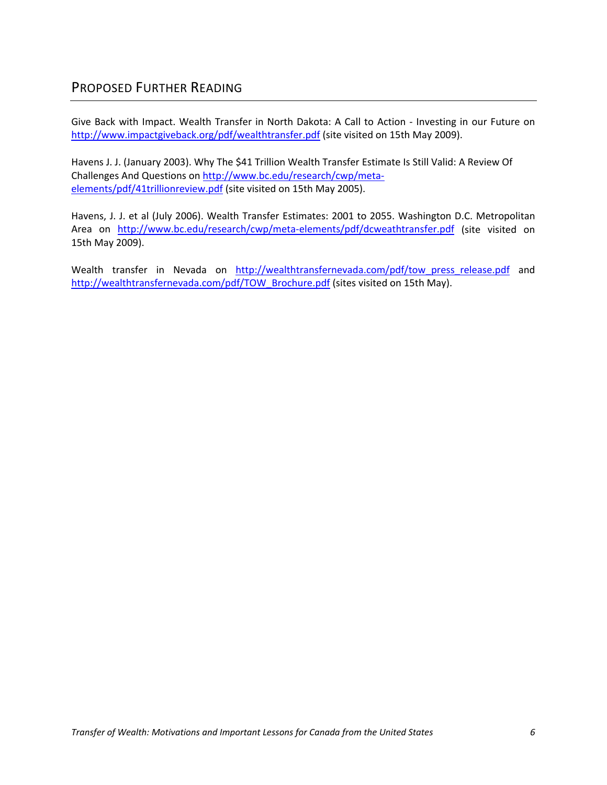### PROPOSED FURTHER READING

Give Back with Impact. Wealth Transfer in North Dakota: A Call to Action ‐ Investing in our Future on http://www.impactgiveback.org/pdf/wealthtransfer.pdf (site visited on 15th May 2009).

Havens J. J. (January 2003). Why The \$41 Trillion Wealth Transfer Estimate Is Still Valid: A Review Of Challenges And Questions on http://www.bc.edu/research/cwp/meta‐ elements/pdf/41trillionreview.pdf (site visited on 15th May 2005).

Havens, J. J. et al (July 2006). Wealth Transfer Estimates: 2001 to 2055. Washington D.C. Metropolitan Area on http://www.bc.edu/research/cwp/meta-elements/pdf/dcweathtransfer.pdf (site visited on 15th May 2009).

Wealth transfer in Nevada on http://wealthtransfernevada.com/pdf/tow press release.pdf and http://wealthtransfernevada.com/pdf/TOW\_Brochure.pdf (sites visited on 15th May).